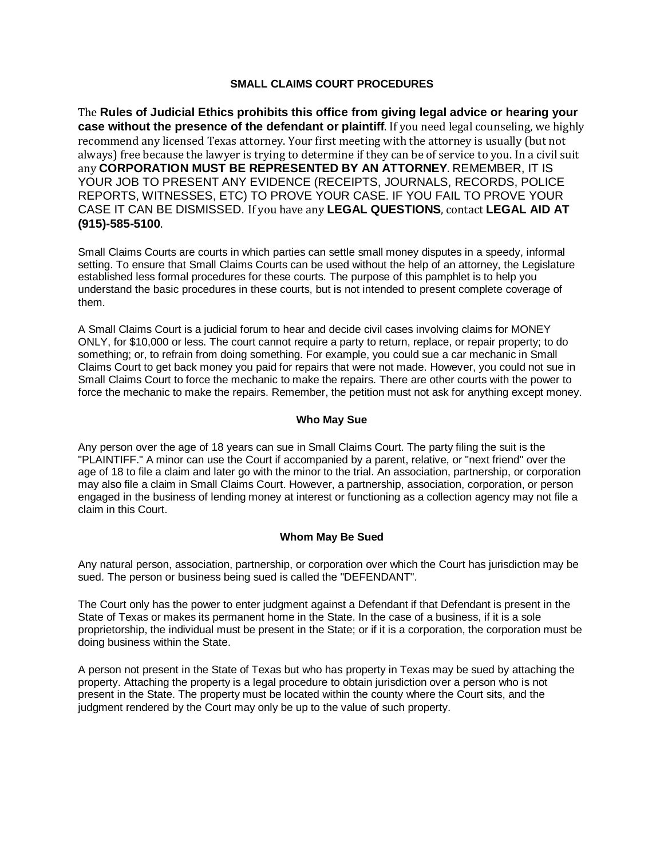# **SMALL CLAIMS COURT PROCEDURES**

The **Rules of Judicial Ethics prohibits this office from giving legal advice or hearing your case without the presence of the defendant or plaintiff**. If you need legal counseling, we highly recommend any licensed Texas attorney. Your first meeting with the attorney is usually (but not always) free because the lawyer is trying to determine if they can be of service to you. In a civil suit any **CORPORATION MUST BE REPRESENTED BY AN ATTORNEY**. REMEMBER, IT IS YOUR JOB TO PRESENT ANY EVIDENCE (RECEIPTS, JOURNALS, RECORDS, POLICE REPORTS, WITNESSES, ETC) TO PROVE YOUR CASE. IF YOU FAIL TO PROVE YOUR CASE IT CAN BE DISMISSED. If you have any **LEGAL QUESTIONS**, contact **LEGAL AID AT (915)-585-5100**.

Small Claims Courts are courts in which parties can settle small money disputes in a speedy, informal setting. To ensure that Small Claims Courts can be used without the help of an attorney, the Legislature established less formal procedures for these courts. The purpose of this pamphlet is to help you understand the basic procedures in these courts, but is not intended to present complete coverage of them.

A Small Claims Court is a judicial forum to hear and decide civil cases involving claims for MONEY ONLY, for \$10,000 or less. The court cannot require a party to return, replace, or repair property; to do something; or, to refrain from doing something. For example, you could sue a car mechanic in Small Claims Court to get back money you paid for repairs that were not made. However, you could not sue in Small Claims Court to force the mechanic to make the repairs. There are other courts with the power to force the mechanic to make the repairs. Remember, the petition must not ask for anything except money.

### **Who May Sue**

Any person over the age of 18 years can sue in Small Claims Court. The party filing the suit is the "PLAINTIFF." A minor can use the Court if accompanied by a parent, relative, or "next friend" over the age of 18 to file a claim and later go with the minor to the trial. An association, partnership, or corporation may also file a claim in Small Claims Court. However, a partnership, association, corporation, or person engaged in the business of lending money at interest or functioning as a collection agency may not file a claim in this Court.

#### **Whom May Be Sued**

Any natural person, association, partnership, or corporation over which the Court has jurisdiction may be sued. The person or business being sued is called the "DEFENDANT".

The Court only has the power to enter judgment against a Defendant if that Defendant is present in the State of Texas or makes its permanent home in the State. In the case of a business, if it is a sole proprietorship, the individual must be present in the State; or if it is a corporation, the corporation must be doing business within the State.

A person not present in the State of Texas but who has property in Texas may be sued by attaching the property. Attaching the property is a legal procedure to obtain jurisdiction over a person who is not present in the State. The property must be located within the county where the Court sits, and the judgment rendered by the Court may only be up to the value of such property.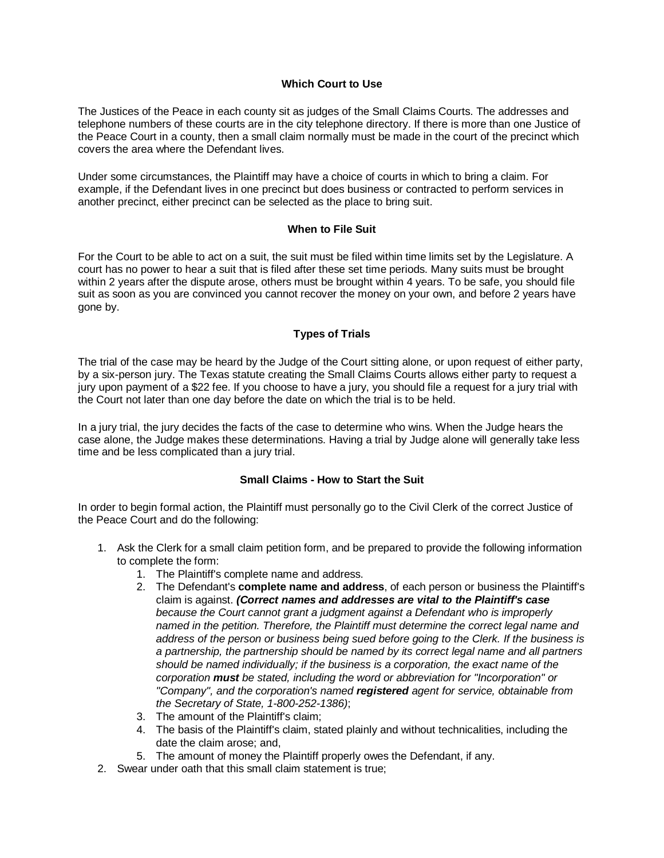# **Which Court to Use**

The Justices of the Peace in each county sit as judges of the Small Claims Courts. The addresses and telephone numbers of these courts are in the city telephone directory. If there is more than one Justice of the Peace Court in a county, then a small claim normally must be made in the court of the precinct which covers the area where the Defendant lives.

Under some circumstances, the Plaintiff may have a choice of courts in which to bring a claim. For example, if the Defendant lives in one precinct but does business or contracted to perform services in another precinct, either precinct can be selected as the place to bring suit.

#### **When to File Suit**

For the Court to be able to act on a suit, the suit must be filed within time limits set by the Legislature. A court has no power to hear a suit that is filed after these set time periods. Many suits must be brought within 2 years after the dispute arose, others must be brought within 4 years. To be safe, you should file suit as soon as you are convinced you cannot recover the money on your own, and before 2 years have gone by.

### **Types of Trials**

The trial of the case may be heard by the Judge of the Court sitting alone, or upon request of either party, by a six-person jury. The Texas statute creating the Small Claims Courts allows either party to request a jury upon payment of a \$22 fee. If you choose to have a jury, you should file a request for a jury trial with the Court not later than one day before the date on which the trial is to be held.

In a jury trial, the jury decides the facts of the case to determine who wins. When the Judge hears the case alone, the Judge makes these determinations. Having a trial by Judge alone will generally take less time and be less complicated than a jury trial.

#### **Small Claims - How to Start the Suit**

In order to begin formal action, the Plaintiff must personally go to the Civil Clerk of the correct Justice of the Peace Court and do the following:

- 1. Ask the Clerk for a small claim petition form, and be prepared to provide the following information to complete the form:
	- 1. The Plaintiff's complete name and address.
	- 2. The Defendant's **complete name and address**, of each person or business the Plaintiff's claim is against. *(Correct names and addresses are vital to the Plaintiff's case because the Court cannot grant a judgment against a Defendant who is improperly named in the petition. Therefore, the Plaintiff must determine the correct legal name and address of the person or business being sued before going to the Clerk. If the business is a partnership, the partnership should be named by its correct legal name and all partners should be named individually; if the business is a corporation, the exact name of the corporation must be stated, including the word or abbreviation for "Incorporation" or "Company", and the corporation's named registered agent for service, obtainable from the Secretary of State, 1-800-252-1386)*;
	- 3. The amount of the Plaintiff's claim;
	- 4. The basis of the Plaintiff's claim, stated plainly and without technicalities, including the date the claim arose; and,
	- 5. The amount of money the Plaintiff properly owes the Defendant, if any.
- 2. Swear under oath that this small claim statement is true;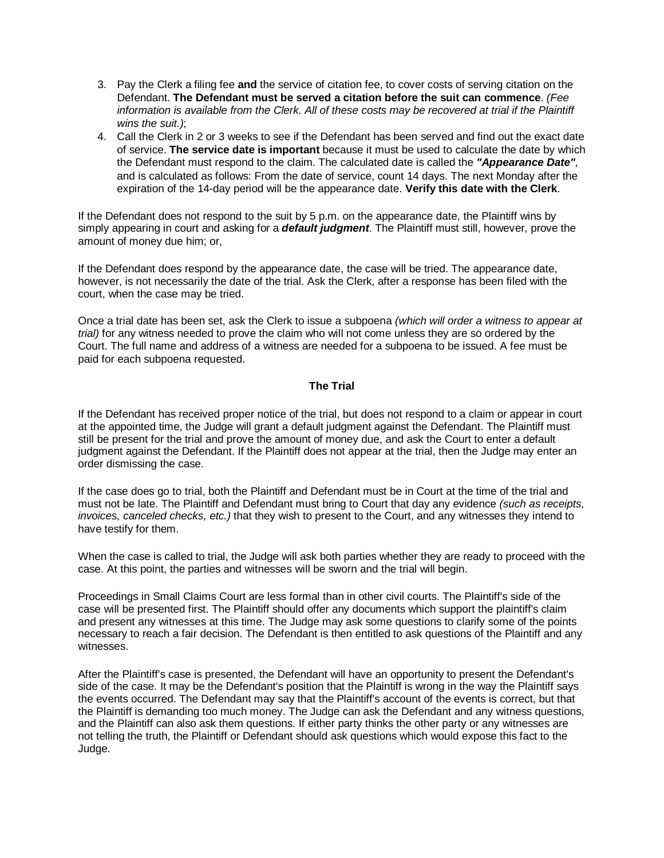- 3. Pay the Clerk a filing fee **and** the service of citation fee, to cover costs of serving citation on the Defendant. **The Defendant must be served a citation before the suit can commence**. *(Fee information is available from the Clerk. All of these costs may be recovered at trial if the Plaintiff wins the suit.)*;
- 4. Call the Clerk in 2 or 3 weeks to see if the Defendant has been served and find out the exact date of service. **The service date is important** because it must be used to calculate the date by which the Defendant must respond to the claim. The calculated date is called the *"Appearance Date"*, and is calculated as follows: From the date of service, count 14 days. The next Monday after the expiration of the 14-day period will be the appearance date. **Verify this date with the Clerk**.

If the Defendant does not respond to the suit by 5 p.m. on the appearance date, the Plaintiff wins by simply appearing in court and asking for a *default judgment*. The Plaintiff must still, however, prove the amount of money due him; or,

If the Defendant does respond by the appearance date, the case will be tried. The appearance date, however, is not necessarily the date of the trial. Ask the Clerk, after a response has been filed with the court, when the case may be tried.

Once a trial date has been set, ask the Clerk to issue a subpoena *(which will order a witness to appear at trial)* for any witness needed to prove the claim who will not come unless they are so ordered by the Court. The full name and address of a witness are needed for a subpoena to be issued. A fee must be paid for each subpoena requested.

#### **The Trial**

If the Defendant has received proper notice of the trial, but does not respond to a claim or appear in court at the appointed time, the Judge will grant a default judgment against the Defendant. The Plaintiff must still be present for the trial and prove the amount of money due, and ask the Court to enter a default judgment against the Defendant. If the Plaintiff does not appear at the trial, then the Judge may enter an order dismissing the case.

If the case does go to trial, both the Plaintiff and Defendant must be in Court at the time of the trial and must not be late. The Plaintiff and Defendant must bring to Court that day any evidence *(such as receipts, invoices, canceled checks, etc.)* that they wish to present to the Court, and any witnesses they intend to have testify for them.

When the case is called to trial, the Judge will ask both parties whether they are ready to proceed with the case. At this point, the parties and witnesses will be sworn and the trial will begin.

Proceedings in Small Claims Court are less formal than in other civil courts. The Plaintiff's side of the case will be presented first. The Plaintiff should offer any documents which support the plaintiff's claim and present any witnesses at this time. The Judge may ask some questions to clarify some of the points necessary to reach a fair decision. The Defendant is then entitled to ask questions of the Plaintiff and any witnesses.

After the Plaintiff's case is presented, the Defendant will have an opportunity to present the Defendant's side of the case. It may be the Defendant's position that the Plaintiff is wrong in the way the Plaintiff says the events occurred. The Defendant may say that the Plaintiff's account of the events is correct, but that the Plaintiff is demanding too much money. The Judge can ask the Defendant and any witness questions, and the Plaintiff can also ask them questions. If either party thinks the other party or any witnesses are not telling the truth, the Plaintiff or Defendant should ask questions which would expose this fact to the Judge.